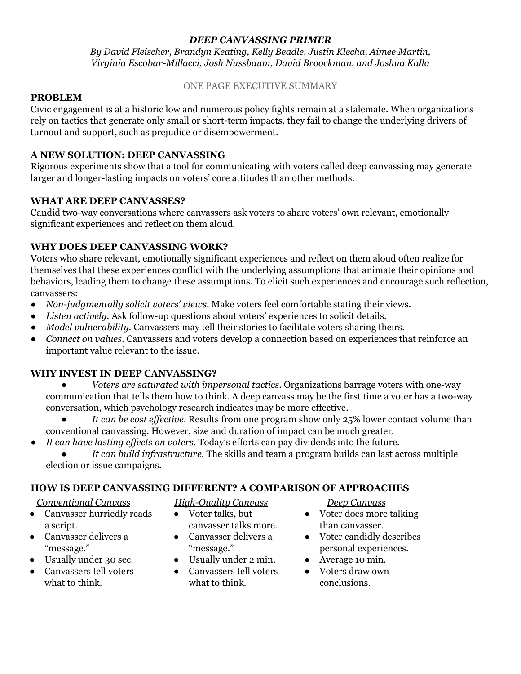*By David Fleischer, Brandyn Keating, Kelly Beadle, Justin Klecha, Aimee Martin, Virginia Escobar-Millacci, Josh Nussbaum, David Broockman, and Joshua Kalla*

#### ONE PAGE EXECUTIVE SUMMARY

#### **PROBLEM**

Civic engagement is at a historic low and numerous policy fights remain at a stalemate. When organizations rely on tactics that generate only small or short-term impacts, they fail to change the underlying drivers of turnout and support, such as prejudice or disempowerment.

## **A NEW SOLUTION: DEEP CANVASSING**

Rigorous experiments show that a tool for communicating with voters called deep canvassing may generate larger and longer-lasting impacts on voters' core attitudes than other methods.

## **WHAT ARE DEEP CANVASSES?**

Candid two-way conversations where canvassers ask voters to share voters' own relevant, emotionally significant experiences and reflect on them aloud.

#### **WHY DOES DEEP CANVASSING WORK?**

Voters who share relevant, emotionally significant experiences and reflect on them aloud often realize for themselves that these experiences conflict with the underlying assumptions that animate their opinions and behaviors, leading them to change these assumptions. To elicit such experiences and encourage such reflection, canvassers:

- *Non-judgmentally solicit voters' views*. Make voters feel comfortable stating their views.
- *Listen actively.* Ask follow-up questions about voters' experiences to solicit details.
- *Model vulnerability.* Canvassers may tell their stories to facilitate voters sharing theirs.
- *● Connect on values*. Canvassers and voters develop a connection based on experiences that reinforce an important value relevant to the issue.

#### **WHY INVEST IN DEEP CANVASSING?**

- *Voters are saturated with impersonal tactics*. Organizations barrage voters with one-way communication that tells them how to think. A deep canvass may be the first time a voter has a two-way conversation, which psychology research indicates may be more effective.
- *It can be cost ef ective.* Results from one program show only 25% lower contact volume than conventional canvassing. However, size and duration of impact can be much greater.
- *It can have lasting ef ects on voters*. Today's efforts can pay dividends into the future.
	- *● It can build infrastructure.* The skills and team a program builds can last across multiple election or issue campaigns.

#### **HOW IS DEEP CANVASSING DIFFERENT? A COMPARISON OF APPROACHES**

#### *Conventional Canvass*

- Canvasser hurriedly reads a script.
- Canvasser delivers a "message."
- Usually under 30 sec.
- Canvassers tell voters what to think.

*High-Quality Canvass*

- Voter talks, but canvasser talks more.
- Canvasser delivers a "message."
- Usually under 2 min.
- Canvassers tell voters what to think.

*Deep Canvass*

- Voter does more talking than canvasser.
- Voter candidly describes personal experiences.
- Average 10 min.
- Voters draw own conclusions.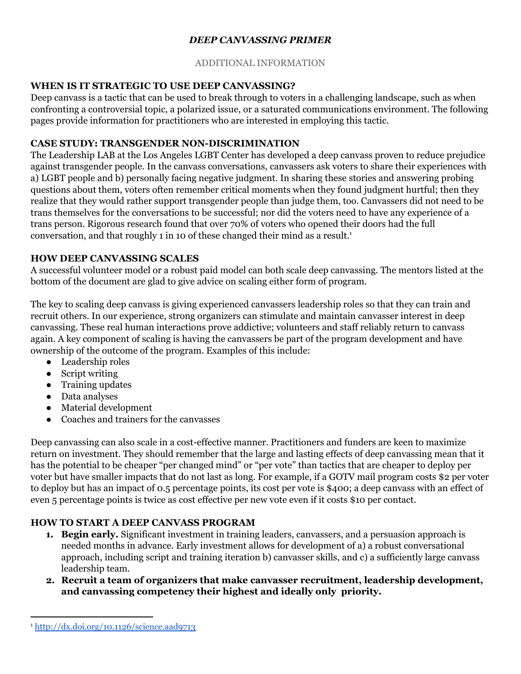#### ADDITIONAL INFORMATION

## **WHEN IS IT STRATEGIC TO USE DEEP CANVASSING?**

Deep canvass is a tactic that can be used to break through to voters in a challenging landscape, such as when confronting a controversial topic, a polarized issue, or a saturated communications environment. The following pages provide information for practitioners who are interested in employing this tactic.

## **CASE STUDY: TRANSGENDER NON-DISCRIMINATION**

The Leadership LAB at the Los Angeles LGBT Center has developed a deep canvass proven to reduce prejudice against transgender people. In the canvass conversations, canvassers ask voters to share their experiences with a) LGBT people and b) personally facing negative judgment. In sharing these stories and answering probing questions about them, voters often remember critical moments when they found judgment hurtful; then they realize that they would rather support transgender people than judge them, too. Canvassers did not need to be trans themselves for the conversations to be successful; nor did the voters need to have any experience of a trans person. Rigorous research found that over 70% of voters who opened their doors had the full conversation, and that roughly 1 in 10 of these changed their mind as a result. 1

## **HOW DEEP CANVASSING SCALES**

A successful volunteer model or a robust paid model can both scale deep canvassing. The mentors listed at the bottom of the document are glad to give advice on scaling either form of program.

The key to scaling deep canvass is giving experienced canvassers leadership roles so that they can train and recruit others. In our experience, strong organizers can stimulate and maintain canvasser interest in deep canvassing. These real human interactions prove addictive; volunteers and staff reliably return to canvass again. A key component of scaling is having the canvassers be part of the program development and have ownership of the outcome of the program. Examples of this include:

- Leadership roles
- Script writing
- Training updates
- Data analyses
- Material development
- Coaches and trainers for the canvasses

Deep canvassing can also scale in a cost-effective manner. Practitioners and funders are keen to maximize return on investment. They should remember that the large and lasting effects of deep canvassing mean that it has the potential to be cheaper "per changed mind" or "per vote" than tactics that are cheaper to deploy per voter but have smaller impacts that do not last as long. For example, if a GOTV mail program costs \$2 per voter to deploy but has an impact of 0.5 percentage points, its cost per vote is \$400; a deep canvass with an effect of even 5 percentage points is twice as cost effective per new vote even if it costs \$10 per contact.

# **HOW TO START A DEEP CANVASS PROGRAM**

- **1. Begin early.** Significant investment in training leaders, canvassers, and a persuasion approach is needed months in advance. Early investment allows for development of a) a robust conversational approach, including script and training iteration b) canvasser skills, and c) a sufficiently large canvass leadership team.
- **2. Recruit a team of organizers that make canvasser recruitment, leadership development, and canvassing competency their highest and ideally only priority.**

<sup>1</sup> <http://dx.doi.org/10.1126/science.aad9713>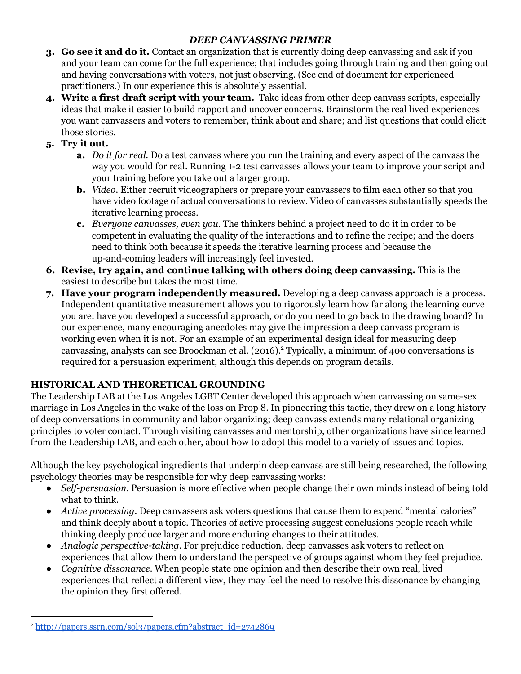- **3. Go see it and do it.** Contact an organization that is currently doing deep canvassing and ask if you and your team can come for the full experience; that includes going through training and then going out and having conversations with voters, not just observing. (See end of document for experienced practitioners.) In our experience this is absolutely essential.
- **4. Write a first draft script with your team.** Take ideas from other deep canvass scripts, especially ideas that make it easier to build rapport and uncover concerns. Brainstorm the real lived experiences you want canvassers and voters to remember, think about and share; and list questions that could elicit those stories.
- **5. Try it out.**
	- **a.** *Do it for real.* Do a test canvass where you run the training and every aspect of the canvass the way you would for real. Running 1-2 test canvasses allows your team to improve your script and your training before you take out a larger group.
	- **b.** *Video*. Either recruit videographers or prepare your canvassers to film each other so that you have video footage of actual conversations to review. Video of canvasses substantially speeds the iterative learning process.
	- **c.** *Everyone canvasses, even you*. The thinkers behind a project need to do it in order to be competent in evaluating the quality of the interactions and to refine the recipe; and the doers need to think both because it speeds the iterative learning process and because the up-and-coming leaders will increasingly feel invested.
- **6. Revise, try again, and continue talking with others doing deep canvassing.** This is the easiest to describe but takes the most time.
- **7. Have your program independently measured.** Developing a deep canvass approach is a process. Independent quantitative measurement allows you to rigorously learn how far along the learning curve you are: have you developed a successful approach, or do you need to go back to the drawing board? In our experience, many encouraging anecdotes may give the impression a deep canvass program is working even when it is not. For an example of an experimental design ideal for measuring deep canvassing, analysts can see Broockman et al. (2016).<sup>2</sup> Typically, a minimum of 400 conversations is required for a persuasion experiment, although this depends on program details.

# **HISTORICAL AND THEORETICAL GROUNDING**

The Leadership LAB at the Los Angeles LGBT Center developed this approach when canvassing on same-sex marriage in Los Angeles in the wake of the loss on Prop 8. In pioneering this tactic, they drew on a long history of deep conversations in community and labor organizing; deep canvass extends many relational organizing principles to voter contact. Through visiting canvasses and mentorship, other organizations have since learned from the Leadership LAB, and each other, about how to adopt this model to a variety of issues and topics.

Although the key psychological ingredients that underpin deep canvass are still being researched, the following psychology theories may be responsible for why deep canvassing works:

- *● Self-persuasion*. Persuasion is more effective when people change their own minds instead of being told what to think.
- *● Active processing*. Deep canvassers ask voters questions that cause them to expend "mental calories" and think deeply about a topic. Theories of active processing suggest conclusions people reach while thinking deeply produce larger and more enduring changes to their attitudes.
- *● Analogic perspective-taking*. For prejudice reduction, deep canvasses ask voters to reflect on experiences that allow them to understand the perspective of groups against whom they feel prejudice.
- *● Cognitive dissonance*. When people state one opinion and then describe their own real, lived experiences that reflect a different view, they may feel the need to resolve this dissonance by changing the opinion they first offered.

<sup>2</sup> [http://papers.ssrn.com/sol3/papers.cfm?abstract\\_id=2742869](http://papers.ssrn.com/sol3/papers.cfm?abstract_id=2742869)